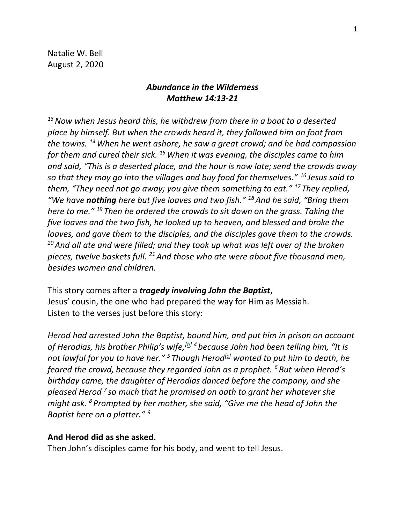Natalie W. Bell August 2, 2020

# *Abundance in the Wilderness Matthew 14:13-21*

*<sup>13</sup>Now when Jesus heard this, he withdrew from there in a boat to a deserted place by himself. But when the crowds heard it, they followed him on foot from the towns. <sup>14</sup>When he went ashore, he saw a great crowd; and he had compassion for them and cured their sick. <sup>15</sup>When it was evening, the disciples came to him and said, "This is a deserted place, and the hour is now late; send the crowds away so that they may go into the villages and buy food for themselves." <sup>16</sup> Jesus said to them, "They need not go away; you give them something to eat." <sup>17</sup> They replied, "We have nothing here but five loaves and two fish." <sup>18</sup>And he said, "Bring them here to me." <sup>19</sup> Then he ordered the crowds to sit down on the grass. Taking the five loaves and the two fish, he looked up to heaven, and blessed and broke the loaves, and gave them to the disciples, and the disciples gave them to the crowds. <sup>20</sup>And all ate and were filled; and they took up what was left over of the broken pieces, twelve baskets full. <sup>21</sup>And those who ate were about five thousand men, besides women and children.*

This story comes after a *tragedy involving John the Baptist*, Jesus' cousin, the one who had prepared the way for Him as Messiah. Listen to the verses just before this story:

*Herod had arrested John the Baptist, bound him, and put him in prison on account of Herodias, his brother Philip's wife,[\[b\]](https://www.biblegateway.com/passage/?search=Matthew+14&version=NRSV#fen-NRSV-23601b) <sup>4</sup> because John had been telling him, "It is not lawful for you to have her." <sup>5</sup> Though Herod[\[c\]](https://www.biblegateway.com/passage/?search=Matthew+14&version=NRSV#fen-NRSV-23603c) wanted to put him to death, he feared the crowd, because they regarded John as a prophet. <sup>6</sup> But when Herod's birthday came, the daughter of Herodias danced before the company, and she pleased Herod <sup>7</sup> so much that he promised on oath to grant her whatever she might ask. <sup>8</sup> Prompted by her mother, she said, "Give me the head of John the Baptist here on a platter." <sup>9</sup>*

#### **And Herod did as she asked.**

Then John's disciples came for his body, and went to tell Jesus.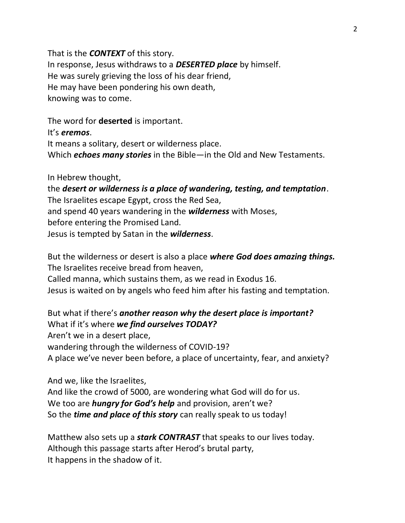That is the *CONTEXT* of this story. In response, Jesus withdraws to a *DESERTED place* by himself. He was surely grieving the loss of his dear friend, He may have been pondering his own death, knowing was to come.

The word for **deserted** is important.

It's *eremos*.

It means a solitary, desert or wilderness place.

Which *echoes many stories* in the Bible—in the Old and New Testaments.

In Hebrew thought,

the *desert or wilderness is a place of wandering, testing, and temptation*. The Israelites escape Egypt, cross the Red Sea, and spend 40 years wandering in the *wilderness* with Moses, before entering the Promised Land. Jesus is tempted by Satan in the *wilderness*.

But the wilderness or desert is also a place *where God does amazing things.*  The Israelites receive bread from heaven, Called manna, which sustains them, as we read in Exodus 16. Jesus is waited on by angels who feed him after his fasting and temptation.

But what if there's *another reason why the desert place is important?* What if it's where *we find ourselves TODAY?* Aren't we in a desert place, wandering through the wilderness of COVID-19? A place we've never been before, a place of uncertainty, fear, and anxiety?

And we, like the Israelites, And like the crowd of 5000, are wondering what God will do for us. We too are *hungry for God's help* and provision, aren't we? So the *time and place of this story* can really speak to us today!

Matthew also sets up a *stark CONTRAST* that speaks to our lives today. Although this passage starts after Herod's brutal party, It happens in the shadow of it.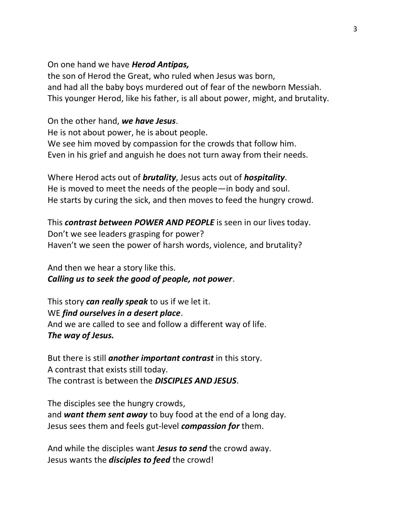#### On one hand we have *Herod Antipas,*

the son of Herod the Great, who ruled when Jesus was born, and had all the baby boys murdered out of fear of the newborn Messiah. This younger Herod, like his father, is all about power, might, and brutality.

# On the other hand, *we have Jesus*.

He is not about power, he is about people. We see him moved by compassion for the crowds that follow him. Even in his grief and anguish he does not turn away from their needs.

Where Herod acts out of *brutality*, Jesus acts out of *hospitality*. He is moved to meet the needs of the people—in body and soul. He starts by curing the sick, and then moves to feed the hungry crowd.

This *contrast between POWER AND PEOPLE* is seen in our lives today. Don't we see leaders grasping for power? Haven't we seen the power of harsh words, violence, and brutality?

And then we hear a story like this. *Calling us to seek the good of people, not power*.

This story *can really speak* to us if we let it. WE *find ourselves in a desert place*. And we are called to see and follow a different way of life. *The way of Jesus.* 

But there is still *another important contrast* in this story. A contrast that exists still today. The contrast is between the *DISCIPLES AND JESUS*.

The disciples see the hungry crowds, and *want them sent away* to buy food at the end of a long day. Jesus sees them and feels gut-level *compassion for* them.

And while the disciples want *Jesus to send* the crowd away. Jesus wants the *disciples to feed* the crowd!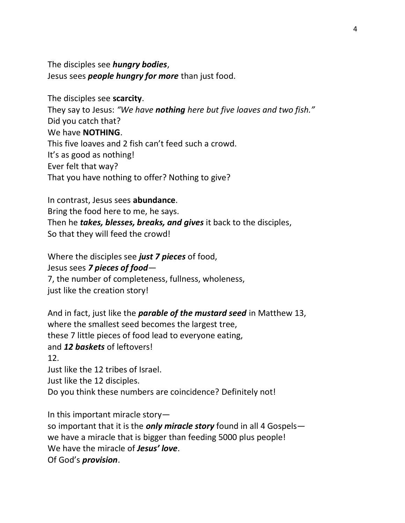The disciples see *hungry bodies*, Jesus sees *people hungry for more* than just food.

The disciples see **scarcity**. They say to Jesus: *"We have nothing here but five loaves and two fish."* Did you catch that? We have **NOTHING**. This five loaves and 2 fish can't feed such a crowd. It's as good as nothing! Ever felt that way? That you have nothing to offer? Nothing to give?

## In contrast, Jesus sees **abundance**.

Bring the food here to me, he says. Then he *takes, blesses, breaks, and gives* it back to the disciples, So that they will feed the crowd!

Where the disciples see *just 7 pieces* of food, Jesus sees *7 pieces of food*— 7, the number of completeness, fullness, wholeness, just like the creation story!

And in fact, just like the *parable of the mustard seed* in Matthew 13, where the smallest seed becomes the largest tree, these 7 little pieces of food lead to everyone eating, and *12 baskets* of leftovers! 12. Just like the 12 tribes of Israel. Just like the 12 disciples. Do you think these numbers are coincidence? Definitely not!

In this important miracle story—

so important that it is the *only miracle story* found in all 4 Gospels we have a miracle that is bigger than feeding 5000 plus people! We have the miracle of *Jesus' love*. Of God's *provision*.